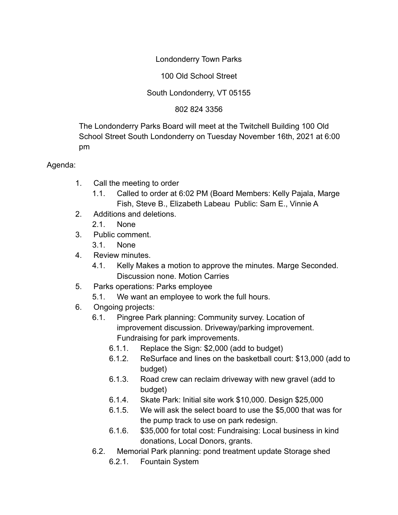# Londonderry Town Parks

## 100 Old School Street

## South Londonderry, VT 05155

## 802 824 3356

The Londonderry Parks Board will meet at the Twitchell Building 100 Old School Street South Londonderry on Tuesday November 16th, 2021 at 6:00 pm

#### Agenda:

- 1. Call the meeting to order
	- 1.1. Called to order at 6:02 PM (Board Members: Kelly Pajala, Marge Fish, Steve B., Elizabeth Labeau Public: Sam E., Vinnie A
- 2. Additions and deletions.

2.1. None

- 3. Public comment.
	- 3.1. None
- 4. Review minutes.
	- 4.1. Kelly Makes a motion to approve the minutes. Marge Seconded. Discussion none. Motion Carries
- 5. Parks operations: Parks employee
	- 5.1. We want an employee to work the full hours.
- 6. Ongoing projects:
	- 6.1. Pingree Park planning: Community survey. Location of improvement discussion. Driveway/parking improvement. Fundraising for park improvements.
		- 6.1.1. Replace the Sign: \$2,000 (add to budget)
		- 6.1.2. ReSurface and lines on the basketball court: \$13,000 (add to budget)
		- 6.1.3. Road crew can reclaim driveway with new gravel (add to budget)
		- 6.1.4. Skate Park: Initial site work \$10,000. Design \$25,000
		- 6.1.5. We will ask the select board to use the \$5,000 that was for the pump track to use on park redesign.
		- 6.1.6. \$35,000 for total cost: Fundraising: Local business in kind donations, Local Donors, grants.
	- 6.2. Memorial Park planning: pond treatment update Storage shed
		- 6.2.1. Fountain System